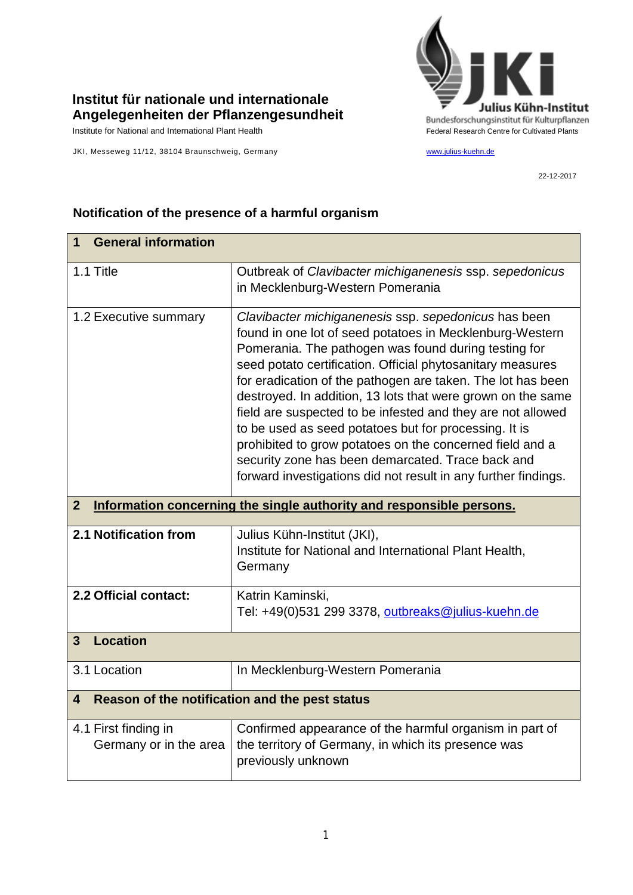

## **Institut für nationale und internationale Angelegenheiten der Pflanzengesundheit**

JKI, Messeweg 11/12, 38104 Braunschweig, Germany [www.julius-kuehn.de](http://www.julius-kuehn.de/)

22-12-2017

| <b>General information</b><br>$\mathbf 1$                                            |                                                                                                                                                                                                                                                                                                                                                                                                                                                                                                                                                                                                                                                                                 |  |
|--------------------------------------------------------------------------------------|---------------------------------------------------------------------------------------------------------------------------------------------------------------------------------------------------------------------------------------------------------------------------------------------------------------------------------------------------------------------------------------------------------------------------------------------------------------------------------------------------------------------------------------------------------------------------------------------------------------------------------------------------------------------------------|--|
| 1.1 Title                                                                            | Outbreak of Clavibacter michiganenesis ssp. sepedonicus<br>in Mecklenburg-Western Pomerania                                                                                                                                                                                                                                                                                                                                                                                                                                                                                                                                                                                     |  |
| 1.2 Executive summary                                                                | Clavibacter michiganenesis ssp. sepedonicus has been<br>found in one lot of seed potatoes in Mecklenburg-Western<br>Pomerania. The pathogen was found during testing for<br>seed potato certification. Official phytosanitary measures<br>for eradication of the pathogen are taken. The lot has been<br>destroyed. In addition, 13 lots that were grown on the same<br>field are suspected to be infested and they are not allowed<br>to be used as seed potatoes but for processing. It is<br>prohibited to grow potatoes on the concerned field and a<br>security zone has been demarcated. Trace back and<br>forward investigations did not result in any further findings. |  |
| Information concerning the single authority and responsible persons.<br>$\mathbf{2}$ |                                                                                                                                                                                                                                                                                                                                                                                                                                                                                                                                                                                                                                                                                 |  |
| 2.1 Notification from                                                                | Julius Kühn-Institut (JKI),<br>Institute for National and International Plant Health,<br>Germany                                                                                                                                                                                                                                                                                                                                                                                                                                                                                                                                                                                |  |
| 2.2 Official contact:                                                                | Katrin Kaminski,<br>Tel: +49(0)531 299 3378, outbreaks@julius-kuehn.de                                                                                                                                                                                                                                                                                                                                                                                                                                                                                                                                                                                                          |  |
| <b>Location</b><br>3                                                                 |                                                                                                                                                                                                                                                                                                                                                                                                                                                                                                                                                                                                                                                                                 |  |
| 3.1 Location                                                                         | In Mecklenburg-Western Pomerania                                                                                                                                                                                                                                                                                                                                                                                                                                                                                                                                                                                                                                                |  |
| Reason of the notification and the pest status<br>4                                  |                                                                                                                                                                                                                                                                                                                                                                                                                                                                                                                                                                                                                                                                                 |  |
| 4.1 First finding in<br>Germany or in the area                                       | Confirmed appearance of the harmful organism in part of<br>the territory of Germany, in which its presence was<br>previously unknown                                                                                                                                                                                                                                                                                                                                                                                                                                                                                                                                            |  |

## **Notification of the presence of a harmful organism**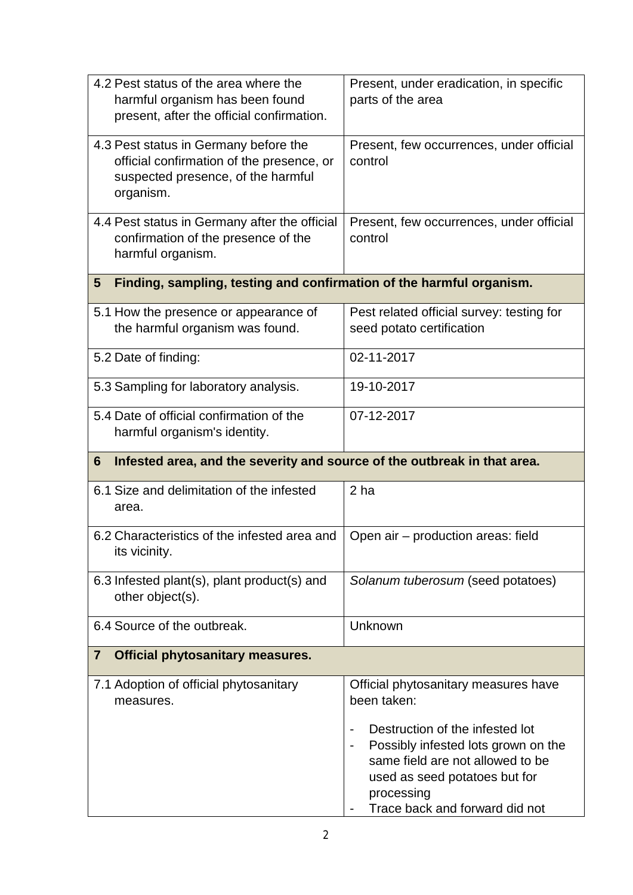| 4.2 Pest status of the area where the<br>harmful organism has been found                                                              | Present, under eradication, in specific<br>parts of the area           |  |  |
|---------------------------------------------------------------------------------------------------------------------------------------|------------------------------------------------------------------------|--|--|
| present, after the official confirmation.                                                                                             |                                                                        |  |  |
| 4.3 Pest status in Germany before the<br>official confirmation of the presence, or<br>suspected presence, of the harmful<br>organism. | Present, few occurrences, under official<br>control                    |  |  |
| 4.4 Pest status in Germany after the official<br>confirmation of the presence of the<br>harmful organism.                             | Present, few occurrences, under official<br>control                    |  |  |
| Finding, sampling, testing and confirmation of the harmful organism.<br>$5\phantom{.0}$                                               |                                                                        |  |  |
| 5.1 How the presence or appearance of<br>the harmful organism was found.                                                              | Pest related official survey: testing for<br>seed potato certification |  |  |
| 5.2 Date of finding:                                                                                                                  | 02-11-2017                                                             |  |  |
| 5.3 Sampling for laboratory analysis.                                                                                                 | 19-10-2017                                                             |  |  |
| 5.4 Date of official confirmation of the<br>harmful organism's identity.                                                              | 07-12-2017                                                             |  |  |
| Infested area, and the severity and source of the outbreak in that area.<br>6                                                         |                                                                        |  |  |
|                                                                                                                                       |                                                                        |  |  |
| 6.1 Size and delimitation of the infested<br>area.                                                                                    | 2 <sub>ha</sub>                                                        |  |  |
| 6.2 Characteristics of the infested area and<br>its vicinity.                                                                         | Open air - production areas: field                                     |  |  |
| 6.3 Infested plant(s), plant product(s) and<br>other object(s).                                                                       | Solanum tuberosum (seed potatoes)                                      |  |  |
| 6.4 Source of the outbreak.                                                                                                           | Unknown                                                                |  |  |
| <b>Official phytosanitary measures.</b><br>7                                                                                          |                                                                        |  |  |
| 7.1 Adoption of official phytosanitary<br>measures.                                                                                   | Official phytosanitary measures have<br>been taken:                    |  |  |